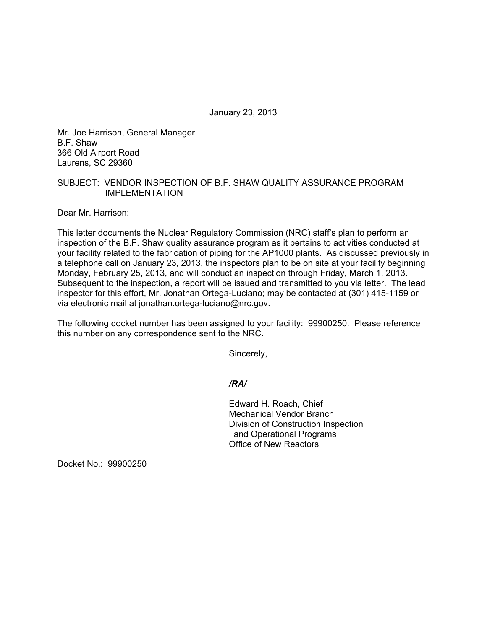January 23, 2013

Mr. Joe Harrison, General Manager B.F. Shaw 366 Old Airport Road Laurens, SC 29360

## SUBJECT: VENDOR INSPECTION OF B.F. SHAW QUALITY ASSURANCE PROGRAM IMPLEMENTATION

Dear Mr. Harrison:

This letter documents the Nuclear Regulatory Commission (NRC) staff's plan to perform an inspection of the B.F. Shaw quality assurance program as it pertains to activities conducted at your facility related to the fabrication of piping for the AP1000 plants. As discussed previously in a telephone call on January 23, 2013, the inspectors plan to be on site at your facility beginning Monday, February 25, 2013, and will conduct an inspection through Friday, March 1, 2013. Subsequent to the inspection, a report will be issued and transmitted to you via letter. The lead inspector for this effort, Mr. Jonathan Ortega-Luciano; may be contacted at (301) 415-1159 or via electronic mail at jonathan.ortega-luciano@nrc.gov.

The following docket number has been assigned to your facility: 99900250. Please reference this number on any correspondence sent to the NRC.

Sincerely,

*/RA/* 

Edward H. Roach, Chief Mechanical Vendor Branch Division of Construction Inspection and Operational Programs Office of New Reactors

Docket No.: 99900250